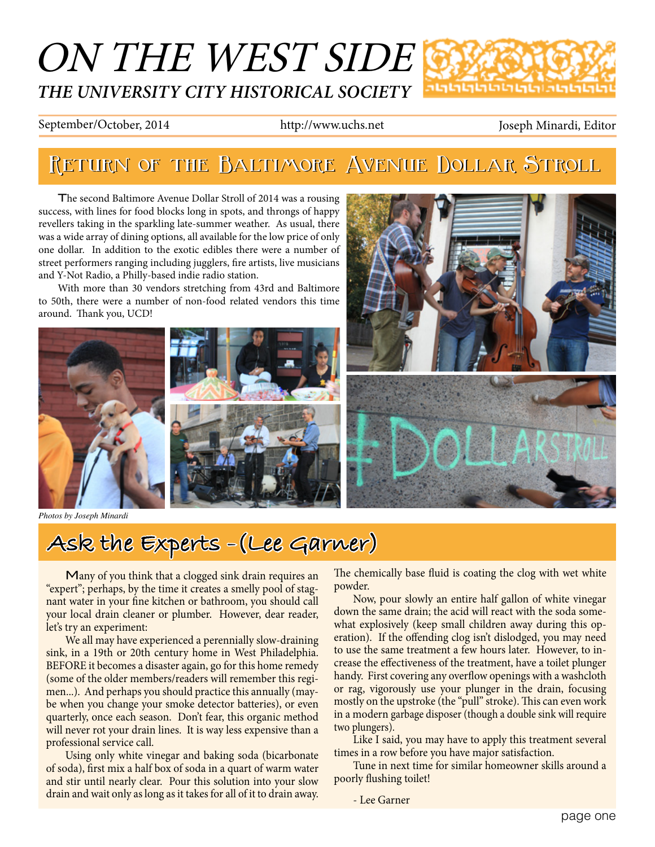## ON THE WEST SIDE *THE UNIVERSITY CITY HISTORICAL SOCIETY* տտելերությու

#### September/October, 2014 http://www.uchs.net Joseph Minardi, Editor

# **Return of the Baltimore Avenue Dollar Stroll Return of the Baltimore Avenue Dollar Stroll**

The second Baltimore Avenue Dollar Stroll of 2014 was a rousing success, with lines for food blocks long in spots, and throngs of happy revellers taking in the sparkling late-summer weather. As usual, there was a wide array of dining options, all available for the low price of only one dollar. In addition to the exotic edibles there were a number of street performers ranging including jugglers, fire artists, live musicians and Y-Not Radio, a Philly-based indie radio station.

With more than 30 vendors stretching from 43rd and Baltimore to 50th, there were a number of non-food related vendors this time around. Thank you, UCD!



*Photos by Joseph Minardi*



# **Ask the Experts -(Lee Garner)**

Many of you think that a clogged sink drain requires an "expert"; perhaps, by the time it creates a smelly pool of stagnant water in your fine kitchen or bathroom, you should call your local drain cleaner or plumber. However, dear reader, let's try an experiment:

We all may have experienced a perennially slow-draining sink, in a 19th or 20th century home in West Philadelphia. BEFORE it becomes a disaster again, go for this home remedy (some of the older members/readers will remember this regimen...). And perhaps you should practice this annually (maybe when you change your smoke detector batteries), or even quarterly, once each season. Don't fear, this organic method will never rot your drain lines. It is way less expensive than a professional service call.

Using only white vinegar and baking soda (bicarbonate of soda), first mix a half box of soda in a quart of warm water and stir until nearly clear. Pour this solution into your slow drain and wait only as long as it takes for all of it to drain away.

The chemically base fluid is coating the clog with wet white powder.

Now, pour slowly an entire half gallon of white vinegar down the same drain; the acid will react with the soda somewhat explosively (keep small children away during this operation). If the offending clog isn't dislodged, you may need to use the same treatment a few hours later. However, to increase the effectiveness of the treatment, have a toilet plunger handy. First covering any overflow openings with a washcloth or rag, vigorously use your plunger in the drain, focusing mostly on the upstroke (the "pull" stroke). This can even work in a modern garbage disposer (though a double sink will require two plungers).

Like I said, you may have to apply this treatment several times in a row before you have major satisfaction.

Tune in next time for similar homeowner skills around a poorly flushing toilet!

- Lee Garner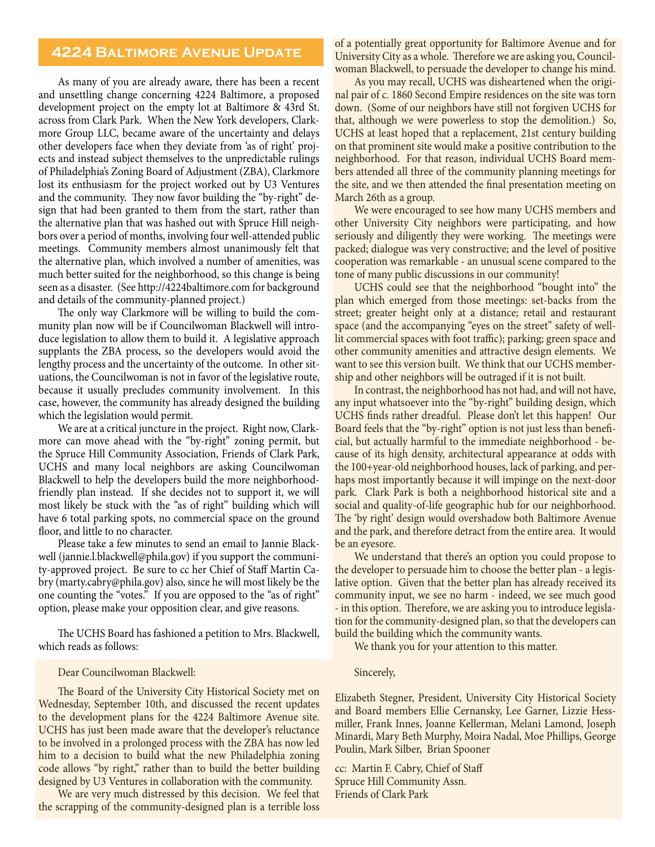### **4224 Baltimore Avenue Update**

As many of you are already aware, there has been a recent and unsettling change concerning 4224 Baltimore, a proposed development project on the empty lot at Baltimore & 43rd St. across from Clark Park. When the New York developers, Clarkmore Group LLC, became aware of the uncertainty and delays other developers face when they deviate from 'as of right' projects and instead subject themselves to the unpredictable rulings of Philadelphia's Zoning Board of Adjustment (ZBA), Clarkmore lost its enthusiasm for the project worked out by U3 Ventures and the community. They now favor building the "by-right" design that had been granted to them from the start, rather than the alternative plan that was hashed out with Spruce Hill neighbors over a period of months, involving four well-attended public meetings. Community members almost unanimously felt that the alternative plan, which involved a number of amenities, was much better suited for the neighborhood, so this change is being seen as a disaster. (See http://4224baltimore.com for background and details of the community-planned project.)

The only way Clarkmore will be willing to build the community plan now will be if Councilwoman Blackwell will introduce legislation to allow them to build it. A legislative approach supplants the ZBA process, so the developers would avoid the lengthy process and the uncertainty of the outcome. In other situations, the Councilwoman is not in favor of the legislative route, because it usually precludes community involvement. In this case, however, the community has already designed the building which the legislation would permit.

We are at a critical juncture in the project. Right now, Clarkmore can move ahead with the "by-right" zoning permit, but the Spruce Hill Community Association, Friends of Clark Park, UCHS and many local neighbors are asking Councilwoman Blackwell to help the developers build the more neighborhoodfriendly plan instead. If she decides not to support it, we will most likely be stuck with the "as of right" building which will have 6 total parking spots, no commercial space on the ground floor, and little to no character.

Please take a few minutes to send an email to Jannie Blackwell (jannie.l.blackwell@phila.gov) if you support the community-approved project. Be sure to cc her Chief of Staff Martin Cabry (marty.cabry@phila.gov) also, since he will most likely be the one counting the "votes." If you are opposed to the "as of right" option, please make your opposition clear, and give reasons.

The UCHS Board has fashioned a petition to Mrs. Blackwell, which reads as follows:

#### Dear Councilwoman Blackwell:

The Board of the University City Historical Society met on Wednesday, September 10th, and discussed the recent updates to the development plans for the 4224 Baltimore Avenue site. UCHS has just been made aware that the developer's reluctance to be involved in a prolonged process with the ZBA has now led him to a decision to build what the new Philadelphia zoning code allows "by right," rather than to build the better building designed by U3 Ventures in collaboration with the community.

We are very much distressed by this decision. We feel that the scrapping of the community-designed plan is a terrible loss of a potentially great opportunity for Baltimore Avenue and for University City as a whole. Therefore we are asking you, Councilwoman Blackwell, to persuade the developer to change his mind.

As you may recall, UCHS was disheartened when the original pair of c. 1860 Second Empire residences on the site was torn down. (Some of our neighbors have still not forgiven UCHS for that, although we were powerless to stop the demolition.) So, UCHS at least hoped that a replacement, 21st century building on that prominent site would make a positive contribution to the neighborhood. For that reason, individual UCHS Board members attended all three of the community planning meetings for the site, and we then attended the final presentation meeting on March 26th as a group.

We were encouraged to see how many UCHS members and other University City neighbors were participating, and how seriously and diligently they were working. The meetings were packed; dialogue was very constructive; and the level of positive cooperation was remarkable - an unusual scene compared to the tone of many public discussions in our community!

UCHS could see that the neighborhood "bought into" the plan which emerged from those meetings: set-backs from the street; greater height only at a distance; retail and restaurant space (and the accompanying "eyes on the street" safety of welllit commercial spaces with foot traffic); parking; green space and other community amenities and attractive design elements. We want to see this version built. We think that our UCHS membership and other neighbors will be outraged if it is not built.

In contrast, the neighborhood has not had, and will not have, any input whatsoever into the "by-right" building design, which UCHS finds rather dreadful. Please don't let this happen! Our Board feels that the "by-right" option is not just less than beneficial, but actually harmful to the immediate neighborhood - because of its high density, architectural appearance at odds with the 100+year-old neighborhood houses, lack of parking, and perhaps most importantly because it will impinge on the next-door park. Clark Park is both a neighborhood historical site and a social and quality-of-life geographic hub for our neighborhood. The 'by right' design would overshadow both Baltimore Avenue and the park, and therefore detract from the entire area. It would be an eyesore.

We understand that there's an option you could propose to the developer to persuade him to choose the better plan - a legislative option. Given that the better plan has already received its community input, we see no harm - indeed, we see much good - in this option. Therefore, we are asking you to introduce legislation for the community-designed plan, so that the developers can build the building which the community wants.

We thank you for your attention to this matter.

#### Sincerely,

Elizabeth Stegner, President, University City Historical Society and Board members Ellie Cernansky, Lee Garner, Lizzie Hessmiller, Frank Innes, Joanne Kellerman, Melani Lamond, Joseph Minardi, Mary Beth Murphy, Moira Nadal, Moe Phillips, George Poulin, Mark Silber, Brian Spooner

cc: Martin F. Cabry, Chief of Staff Spruce Hill Community Assn. Friends of Clark Park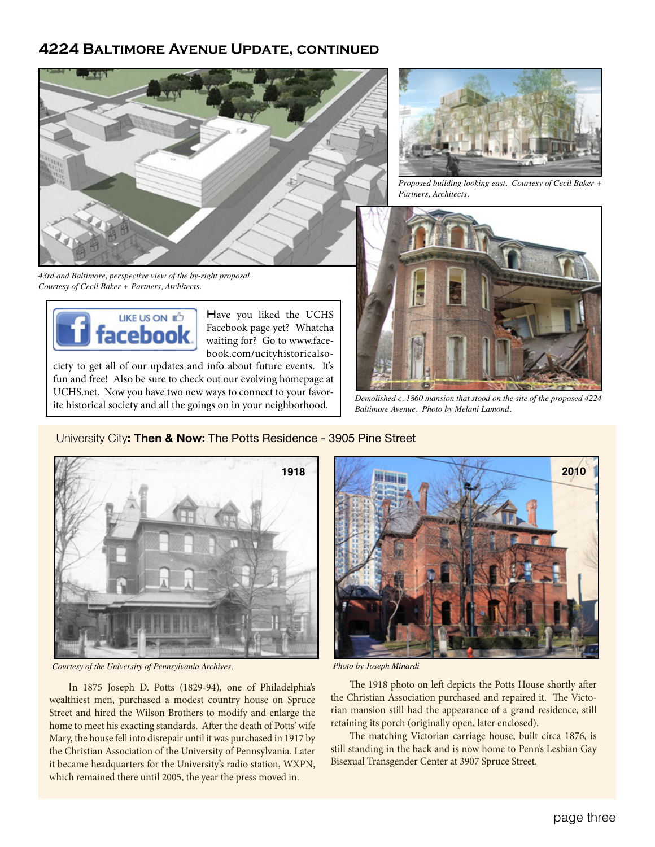## **4224 Baltimore Avenue Update, continued**



*43rd and Baltimore, perspective view of the by-right proposal. Courtesy of Cecil Baker + Partners, Architects.*



Have you liked the UCHS Facebook page yet? Whatcha waiting for? Go to www.facebook.com/ucityhistoricalso-

ciety to get all of our updates and info about future events. It's fun and free! Also be sure to check out our evolving homepage at UCHS.net. Now you have two new ways to connect to your favorite historical society and all the goings on in your neighborhood.



*Proposed building looking east. Courtesy of Cecil Baker + Partners, Architects.*



*Demolished c. 1860 mansion that stood on the site of the proposed 4224 Baltimore Avenue. Photo by Melani Lamond.*



*Courtesy of the University of Pennsylvania Archives. Photo by Joseph Minardi*

In 1875 Joseph D. Potts (1829-94), one of Philadelphia's wealthiest men, purchased a modest country house on Spruce Street and hired the Wilson Brothers to modify and enlarge the home to meet his exacting standards. After the death of Potts' wife Mary, the house fell into disrepair until it was purchased in 1917 by the Christian Association of the University of Pennsylvania. Later it became headquarters for the University's radio station, WXPN, which remained there until 2005, the year the press moved in.



The 1918 photo on left depicts the Potts House shortly after the Christian Association purchased and repaired it. The Victorian mansion still had the appearance of a grand residence, still retaining its porch (originally open, later enclosed).

The matching Victorian carriage house, built circa 1876, is still standing in the back and is now home to Penn's Lesbian Gay Bisexual Transgender Center at 3907 Spruce Street.

## University City**: Then & Now:** The Potts Residence - 3905 Pine Street